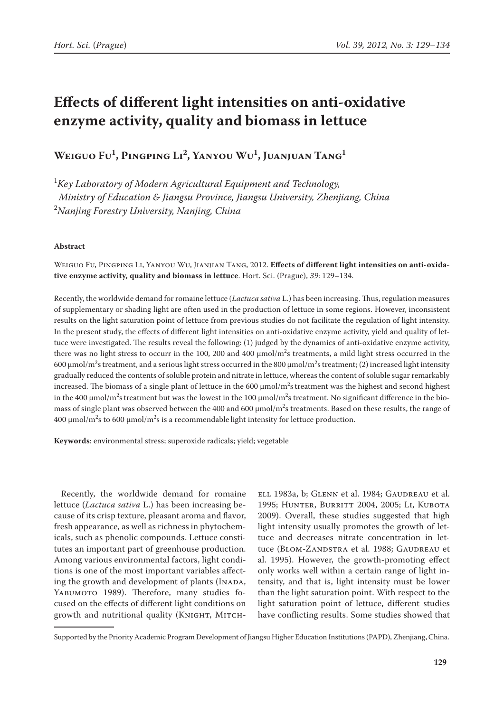# **Effects of different light intensities on anti-oxidative enzyme activity, quality and biomass in lettuce**

**Weiguo Fu1 , Pingping Li2 , Yanyou Wu1 , Juanjuan Tang1**

1 *Key Laboratory of Modern Agricultural Equipment and Technology, Ministry of Education & Jiangsu Province, Jiangsu University, Zhenjiang, China*  2 *Nanjing Forestry University, Nanjing, China*

# **Abstract**

Weiguo Fu, Pingping Li, Yanyou Wu, Jianjian Tang, 2012. **Effects of different light intensities on anti-oxidative enzyme activity, quality and biomass in lettuce**. Hort. Sci. (Prague), *39*: 129–134.

Recently, the worldwide demand for romaine lettuce (*Lactuca sativa* L.) has been increasing. Thus, regulation measures of supplementary or shading light are often used in the production of lettuce in some regions. However, inconsistent results on the light saturation point of lettuce from previous studies do not facilitate the regulation of light intensity. In the present study, the effects of different light intensities on anti-oxidative enzyme activity, yield and quality of lettuce were investigated. The results reveal the following: (1) judged by the dynamics of anti-oxidative enzyme activity, there was no light stress to occurr in the 100, 200 and 400  $\mu$ mol/m<sup>2</sup>s treatments, a mild light stress occurred in the 600 μmol/m<sup>2</sup>s treatment, and a serious light stress occurred in the 800 μmol/m<sup>2</sup>s treatment; (2) increased light intensity gradually reduced the contents of soluble protein and nitrate in lettuce, whereas the content of soluble sugar remarkably increased. The biomass of a single plant of lettuce in the 600  $\mu$ mol/m $^2$ s treatment was the highest and second highest in the 400  $\mu$ mol/m $^2$ s treatment but was the lowest in the 100  $\mu$ mol/m $^2$ s treatment. No significant difference in the biomass of single plant was observed between the 400 and 600  $\mu$ mol/m<sup>2</sup>s treatments. Based on these results, the range of 400 μmol/m<sup>2</sup>s to 600 μmol/m<sup>2</sup>s is a recommendable light intensity for lettuce production.

**Keywords**: environmental stress; superoxide radicals; yield; vegetable

Recently, the worldwide demand for romaine lettuce (*Lactuca sativa* L.) has been increasing because of its crisp texture, pleasant aroma and flavor, fresh appearance, as well as richness in phytochemicals, such as phenolic compounds. Lettuce constitutes an important part of greenhouse production. Among various environmental factors, light conditions is one of the most important variables affecting the growth and development of plants (INADA, YABUMOTO 1989). Therefore, many studies focused on the effects of different light conditions on growth and nutritional quality (KNIGHT, MITCH-

[ell](http://www.ncbi.nlm.nih.gov/pubmed?term=%22Mitchell CA%22%5BAuthor%5D) 1983a, b; Glenn et al. 1984; Gaudreau et al. 1995; HUNTER, BURRITT 2004, 2005; LI, KUBOTA 2009). Overall, these studies suggested that high light intensity usually promotes the growth of lettuce and decreases nitrate concentration in lettuce (BLOM-ZANDSTRA et al. 1988; GAUDREAU et al. 1995). However, the growth-promoting effect only works well within a certain range of light intensity, and that is, light intensity must be lower than the light saturation point. With respect to the light saturation point of lettuce, different studies have conflicting results. Some studies showed that

Supported by the Priority Academic Program Development of Jiangsu Higher Education Institutions (PAPD), Zhenjiang, China.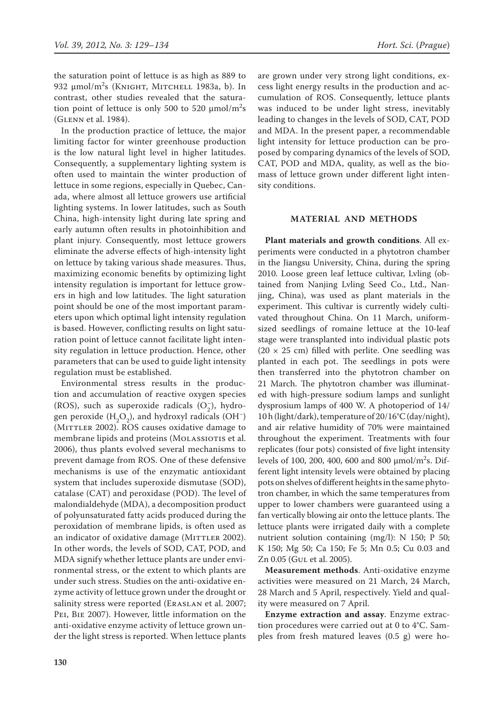the saturation point of lettuce is as high as 889 to 932 μmol/m<sup>2</sup>s (ΚΝΙGHT, MITCHELL 1983a, b). In contrast, other studies revealed that the saturation point of lettuce is only 500 to 520  $\mu$ mol/m<sup>2</sup>s (Glenn et al. 1984).

In the production practice of lettuce, the major limiting factor for winter greenhouse production is the low natural light level in higher latitudes. Consequently, a supplementary lighting system is often used to maintain the winter production of lettuce in some regions, especially in Quebec, Canada, where almost all lettuce growers use artificial lighting systems. In lower latitudes, such as South China, high-intensity light during late spring and early autumn often results in photoinhibition and plant injury. Consequently, most lettuce growers eliminate the adverse effects of high-intensity light on lettuce by taking various shade measures. Thus, maximizing economic benefits by optimizing light intensity regulation is important for lettuce growers in high and low latitudes. The light saturation point should be one of the most important parameters upon which optimal light intensity regulation is based. However, conflicting results on light saturation point of lettuce cannot facilitate light intensity regulation in lettuce production. Hence, other parameters that can be used to guide light intensity regulation must be established.

Environmental stress results in the production and accumulation of reactive oxygen species (ROS), such as superoxide radicals  $(O_2^-)$ , hydrogen peroxide  $(H_2O_2)$ , and hydroxyl radicals (OH<sup>-</sup>) (MITTLER 2002). ROS causes oxidative damage to membrane lipids and proteins (MOLASSIOTIS et al. 2006), thus plants evolved several mechanisms to prevent damage from ROS. One of these defensive mechanisms is use of the enzymatic antioxidant system that includes superoxide dismutase (SOD), catalase (CAT) and peroxidase (POD). The level of malondialdehyde (MDA), a decomposition product of polyunsaturated fatty acids produced during the peroxidation of membrane lipids, is often used as an indicator of oxidative damage (MITTLER 2002). In other words, the levels of SOD, CAT, POD, and MDA signify whether lettuce plants are under environmental stress, or the extent to which plants are under such stress. Studies on the anti-oxidative enzyme activity of lettuce grown under the drought or salinity stress were reported (ERASLAN et al. 2007; Pei, Bie 2007). However, little information on the anti-oxidative enzyme activity of lettuce grown under the light stress is reported. When lettuce plants

are grown under very strong light conditions, excess light energy results in the production and accumulation of ROS. Consequently, lettuce plants was induced to be under light stress, inevitably leading to changes in the levels of SOD, CAT, POD and MDA. In the present paper, a recommendable light intensity for lettuce production can be proposed by comparing dynamics of the levels of SOD, CAT, POD and MDA, quality, as well as the biomass of lettuce grown under different light intensity conditions.

## **MATERIAL AND METHODS**

**Plant materials and growth conditions**. All experiments were conducted in a phytotron chamber in the Jiangsu University, China, during the spring 2010. Loose green leaf lettuce cultivar, Lvling (obtained from Nanjing Lvling Seed Co., Ltd., Nanjing, China), was used as plant materials in the experiment. This cultivar is currently widely cultivated throughout China. On 11 March, uniformsized seedlings of romaine lettuce at the 10-leaf stage were transplanted into individual plastic pots  $(20 \times 25$  cm) filled with perlite. One seedling was planted in each pot. The seedlings in pots were then transferred into the phytotron chamber on 21 March. The phytotron chamber was illuminated with high-pressure sodium lamps and sunlight dysprosium lamps of 400 W. A photoperiod of 14/ 10 h (light/dark), temperature of 20/16°C (day/night), and air relative humidity of 70% were maintained throughout the experiment. Treatments with four replicates (four pots) consisted of five light intensity levels of 100, 200, 400, 600 and 800  $\mu$ mol/m<sup>2</sup>s. Different light intensity levels were obtained by placing pots on shelves of different heights in the same phytotron chamber, in which the same temperatures from upper to lower chambers were guaranteed using a fan vertically blowing air onto the lettuce plants. The lettuce plants were irrigated daily with a complete nutrient solution containing (mg/l): N 150; P 50; K 150; Mg 50; Ca 150; Fe 5; Mn 0.5; Cu 0.03 and Zn 0.05 (GUL et al. 2005).

**Measurement methods**. Anti-oxidative enzyme activities were measured on 21 March, 24 March, 28 March and 5 April, respectively. Yield and quality were measured on 7 April.

**Enzyme extraction and assay**. Enzyme extraction procedures were carried out at 0 to 4°C. Samples from fresh matured leaves (0.5 g) were ho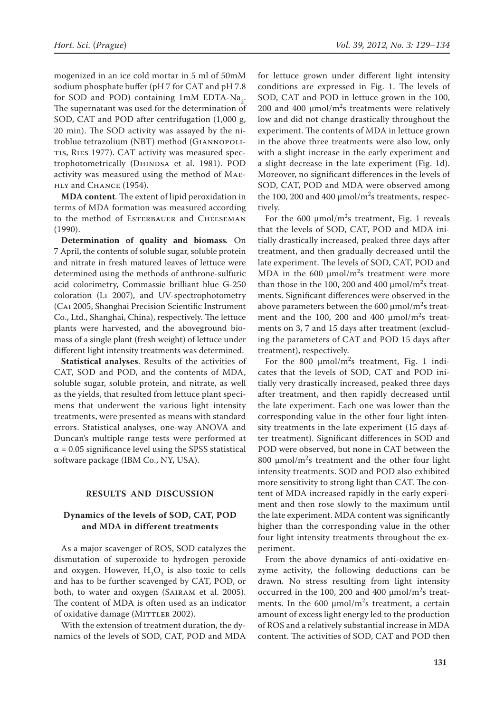mogenized in an ice cold mortar in 5 ml of 50mM sodium phosphate buffer (pH 7 for CAT and pH 7.8 for SOD and POD) containing  $1 \text{mM}$  EDTA-Na<sub>2</sub>. The supernatant was used for the determination of SOD, CAT and POD after centrifugation (1,000 g, 20 min). The SOD activity was assayed by the nitroblue tetrazolium (NBT) method (Giannopolitis, Ries 1977). CAT activity was measured spectrophotometrically (DHINDSA et al. 1981). POD activity was measured using the method of Maehly and Chance (1954).

**MDA content***.* The extent of lipid peroxidation in terms of MDA formation was measured according to the method of ESTERBAUER and CHEESEMAN (1990).

**Determination of quality and biomass***.* On 7 April, the contents of soluble sugar, soluble protein and nitrate in fresh matured leaves of lettuce were determined using the methods of anthrone-sulfuric acid colorimetry, Commassie brilliant blue G-250 coloration (Li 2007), and UV-spectrophotometry (Cai 2005, Shanghai Precision Scientific Instrument Co., Ltd., Shanghai, China), respectively. The lettuce plants were harvested, and the aboveground biomass of a single plant (fresh weight) of lettuce under different light intensity treatments was determined.

**Statistical analyses**. Results of the activities of CAT, SOD and POD, and the contents of MDA, soluble sugar, soluble protein, and nitrate, as well as the yields, that resulted from lettuce plant specimens that underwent the various light intensity treatments, were presented as means with standard errors. Statistical analyses, one-way ANOVA and Duncan's multiple range tests were performed at  $\alpha$  = 0.05 significance level using the SPSS statistical software package (IBM Co., NY, USA).

### **RESULTS AND DISCUSSION**

# **Dynamics of the levels of SOD, CAT, POD and MDA in different treatments**

As a major scavenger of ROS, SOD catalyzes the dismutation of superoxide to hydrogen peroxide and oxygen. However,  $H_2O_2$  is also toxic to cells and has to be further scavenged by CAT, POD, or both, to water and oxygen (Sairam et al. 2005). The content of MDA is often used as an indicator of oxidative damage (MITTLER 2002).

With the extension of treatment duration, the dynamics of the levels of SOD, CAT, POD and MDA

for lettuce grown under different light intensity conditions are expressed in Fig. 1. The levels of SOD, CAT and POD in lettuce grown in the 100, 200 and 400  $\mu$ mol/m<sup>2</sup>s treatments were relatively low and did not change drastically throughout the experiment. The contents of MDA in lettuce grown in the above three treatments were also low, only with a slight increase in the early experiment and a slight decrease in the late experiment (Fig. 1d). Moreover, no significant differences in the levels of SOD, CAT, POD and MDA were observed among the 100, 200 and 400  $\mu$ mol/m<sup>2</sup>s treatments, respectively.

For the 600  $\mu$ mol/m<sup>2</sup>s treatment, Fig. 1 reveals that the levels of SOD, CAT, POD and MDA initially drastically increased, peaked three days after treatment, and then gradually decreased until the late experiment. The levels of SOD, CAT, POD and MDA in the 600  $\mu$ mol/m<sup>2</sup>s treatment were more than those in the 100, 200 and 400  $\mu$ mol/m<sup>2</sup>s treatments. Significant differences were observed in the above parameters between the 600  $\mu$ mol/m<sup>2</sup>s treatment and the 100, 200 and 400  $\mu$ mol/m<sup>2</sup>s treatments on 3, 7 and 15 days after treatment (excluding the parameters of CAT and POD 15 days after treatment), respectively.

For the 800  $\mu$ mol/m<sup>2</sup>s treatment, Fig. 1 indicates that the levels of SOD, CAT and POD initially very drastically increased, peaked three days after treatment, and then rapidly decreased until the late experiment. Each one was lower than the corresponding value in the other four light intensity treatments in the late experiment (15 days after treatment). Significant differences in SOD and POD were observed, but none in CAT between the 800  $\mu$ mol/m<sup>2</sup>s treatment and the other four light intensity treatments. SOD and POD also exhibited more sensitivity to strong light than CAT. The content of MDA increased rapidly in the early experiment and then rose slowly to the maximum until the late experiment. MDA content was significantly higher than the corresponding value in the other four light intensity treatments throughout the experiment.

From the above dynamics of anti-oxidative enzyme activity, the following deductions can be drawn. No stress resulting from light intensity occurred in the 100, 200 and 400  $\mu$ mol/m<sup>2</sup>s treatments. In the 600  $\mu$ mol/m<sup>2</sup>s treatment, a certain amount of excess light energy led to the production of ROS and a relatively substantial increase in MDA content. The activities of SOD, CAT and POD then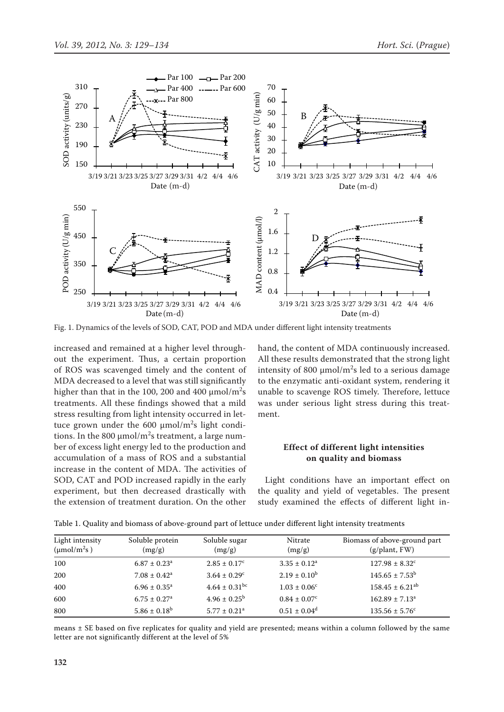

Fig. 1. Dynamics of the levels of SOD, CAT, POD and MDA under different light intensity treatments

increased and remained at a higher level throughout the experiment. Thus, a certain proportion of ROS was scavenged timely and the content of MDA decreased to a level that was still significantly higher than that in the 100, 200 and 400  $\mu$ mol/m<sup>2</sup>s treatments. All these findings showed that a mild stress resulting from light intensity occurred in lettuce grown under the 600  $\mu$ mol/m<sup>2</sup>s light conditions. In the 800  $\mu$ mol/m<sup>2</sup>s treatment, a large number of excess light energy led to the production and accumulation of a mass of ROS and a substantial increase in the content of MDA. The activities of SOD, CAT and POD increased rapidly in the early experiment, but then decreased drastically with the extension of treatment duration. On the other

hand, the content of MDA continuously increased. All these results demonstrated that the strong light intensity of 800  $\mu$ mol/m<sup>2</sup>s led to a serious damage to the enzymatic anti-oxidant system, rendering it unable to scavenge ROS timely. Therefore, lettuce was under serious light stress during this treatment.

# **Effect of different light intensities on quality and biomass**

Light conditions have an important effect on the quality and yield of vegetables. The present study examined the effects of different light in-

| Light intensity<br>$(\mu \text{mol}/\text{m}^2\text{s})$ | Soluble protein<br>(mg/g)    | Soluble sugar<br>(mg/g)       | Nitrate<br>(mg/g)            | Biomass of above-ground part<br>(g/plant, FW) |
|----------------------------------------------------------|------------------------------|-------------------------------|------------------------------|-----------------------------------------------|
| 100                                                      | $6.87 \pm 0.23$ <sup>a</sup> | $2.85 \pm 0.17^{\circ}$       | $3.35 \pm 0.12^a$            | $127.98 \pm 8.32$ <sup>c</sup>                |
| 200                                                      | $7.08 \pm 0.42^a$            | $3.64 \pm 0.29^{\circ}$       | $2.19 \pm 0.10^{\rm b}$      | $145.65 \pm 7.53^{\rm b}$                     |
| 400                                                      | $6.96 \pm 0.35^{\circ}$      | $4.64 \pm 0.31$ <sup>bc</sup> | $1.03 \pm 0.06^{\circ}$      | $158.45 \pm 6.21$ <sup>ab</sup>               |
| 600                                                      | $6.75 \pm 0.27$ <sup>a</sup> | $4.96 \pm 0.25^{\rm b}$       | $0.84 \pm 0.07$ <sup>c</sup> | $162.89 \pm 7.13$ <sup>a</sup>                |
| 800                                                      | $5.86 \pm 0.18^b$            | $5.77 \pm 0.21$ <sup>a</sup>  | $0.51 \pm 0.04^d$            | $135.56 \pm 5.76^{\circ}$                     |

Table 1. Quality and biomass of above-ground part of lettuce under different light intensity treatments

means ± SE based on five replicates for quality and yield are presented; means within a column followed by the same letter are not significantly different at the level of 5%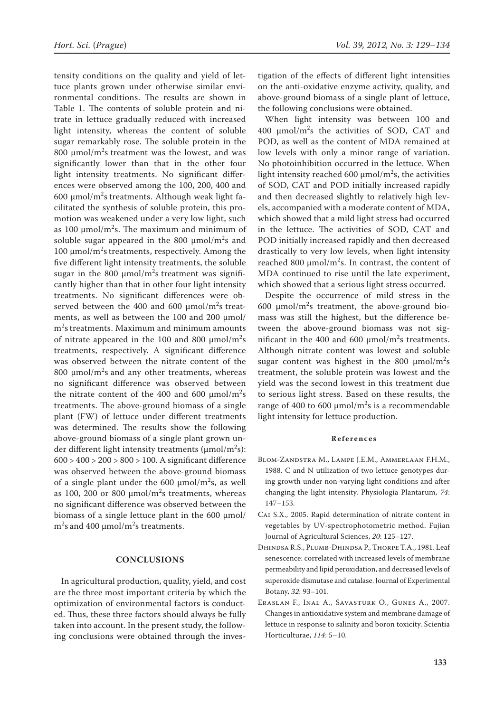tensity conditions on the quality and yield of lettuce plants grown under otherwise similar environmental conditions. The results are shown in Table 1. The contents of soluble protein and nitrate in lettuce gradually reduced with increased light intensity, whereas the content of soluble sugar remarkably rose. The soluble protein in the 800  $\mu$ mol/m<sup>2</sup>s treatment was the lowest, and was significantly lower than that in the other four light intensity treatments. No significant differences were observed among the 100, 200, 400 and 600  $\mu$ mol/m<sup>2</sup>s treatments. Although weak light facilitated the synthesis of soluble protein, this promotion was weakened under a very low light, such as 100  $\mu$ mol/m<sup>2</sup>s. The maximum and minimum of soluble sugar appeared in the 800  $\mu$ mol/m<sup>2</sup>s and 100  $\mu$ mol/m<sup>2</sup>s treatments, respectively. Among the five different light intensity treatments, the soluble sugar in the 800  $\mu$ mol/m<sup>2</sup>s treatment was significantly higher than that in other four light intensity treatments. No significant differences were observed between the 400 and 600  $\mu$ mol/m<sup>2</sup>s treatments, as well as between the 100 and 200 μmol/ m<sup>2</sup>s treatments. Maximum and minimum amounts of nitrate appeared in the 100 and 800  $\mu$ mol/m<sup>2</sup>s treatments, respectively. A significant difference was observed between the nitrate content of the 800  $\mu$ mol/m<sup>2</sup>s and any other treatments, whereas no significant difference was observed between the nitrate content of the 400 and 600  $\mu$ mol/m<sup>2</sup>s treatments. The above-ground biomass of a single plant (FW) of lettuce under different treatments was determined. The results show the following above-ground biomass of a single plant grown under different light intensity treatments ( $\mu$ mol/m<sup>2</sup>s): 600 > 400 > 200 > 800 > 100. A significant difference was observed between the above-ground biomass of a single plant under the 600  $\mu$ mol/m<sup>2</sup>s, as well as 100, 200 or 800  $\mu$ mol/m<sup>2</sup>s treatments, whereas no significant difference was observed between the biomass of a single lettuce plant in the  $600 \mu$ mol/  $\text{m}^2$ s and 400 µmol/m<sup>2</sup>s treatments.

## **CONCLUSIONS**

In agricultural production, quality, yield, and cost are the three most important criteria by which the optimization of environmental factors is conducted. Thus, these three factors should always be fully taken into account. In the present study, the following conclusions were obtained through the investigation of the effects of different light intensities on the anti-oxidative enzyme activity, quality, and above-ground biomass of a single plant of lettuce, the following conclusions were obtained.

When light intensity was between 100 and  $400 \, \mu \text{mol/m}^2$ s the activities of SOD, CAT and POD, as well as the content of MDA remained at low levels with only a minor range of variation. No photoinhibition occurred in the lettuce. When light intensity reached 600  $\mu$ mol/m<sup>2</sup>s, the activities of SOD, CAT and POD initially increased rapidly and then decreased slightly to relatively high levels, accompanied with a moderate content of MDA, which showed that a mild light stress had occurred in the lettuce. The activities of SOD, CAT and POD initially increased rapidly and then decreased drastically to very low levels, when light intensity reached 800  $\mu$ mol/m<sup>2</sup>s. In contrast, the content of MDA continued to rise until the late experiment, which showed that a serious light stress occurred.

Despite the occurrence of mild stress in the 600  $\mu$ mol/m<sup>2</sup>s treatment, the above-ground biomass was still the highest, but the difference between the above-ground biomass was not significant in the 400 and 600  $\mu$ mol/m<sup>2</sup>s treatments. Although nitrate content was lowest and soluble sugar content was highest in the 800  $\mu$ mol/m<sup>2</sup>s treatment, the soluble protein was lowest and the yield was the second lowest in this treatment due to serious light stress. Based on these results, the range of 400 to 600  $\mu$ mol/m<sup>2</sup>s is a recommendable light intensity for lettuce production.

#### **References**

- Blom-Zandstra M., Lampe J.E.M., Ammerlaan F.H.M., 1988. C and N utilization of two lettuce genotypes during growth under non-varying light conditions and after changing the light intensity. Physiologia Plantarum, *74*: 147–153.
- Cai S.X., 2005. Rapid determination of nitrate content in vegetables by UV-spectrophotometric method. Fujian Journal of Agricultural Sciences, *20*: 125–127.
- Dhindsa R.S., Plumb-Dhindsa P., Thorpe T.A., 1981. Leaf senescence: correlated with increased levels of membrane permeability and lipid peroxidation, and decreased levels of superoxide dismutase and catalase. Journal of Experimental Botany, *32*: 93–101.
- Eraslan F., Inal A., Savasturk O., Gunes A., 2007. Changes in antioxidative system and membrane damage of lettuce in response to salinity and boron toxicity. Scientia Horticulturae, *114*: 5–10.